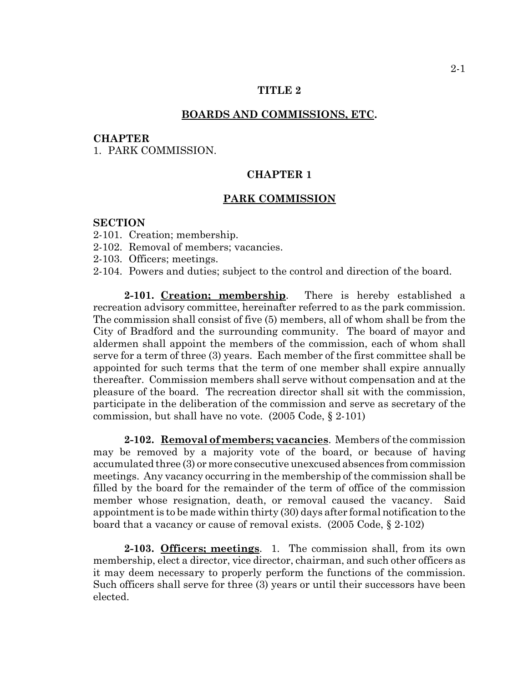## **TITLE 2**

### **BOARDS AND COMMISSIONS, ETC.**

#### **CHAPTER**

1. PARK COMMISSION.

# **CHAPTER 1**

## **PARK COMMISSION**

## **SECTION**

- 2-101. Creation; membership.
- 2-102. Removal of members; vacancies.
- 2-103. Officers; meetings.
- 2-104. Powers and duties; subject to the control and direction of the board.

**2-101. Creation; membership**. There is hereby established a recreation advisory committee, hereinafter referred to as the park commission. The commission shall consist of five (5) members, all of whom shall be from the City of Bradford and the surrounding community. The board of mayor and aldermen shall appoint the members of the commission, each of whom shall serve for a term of three (3) years. Each member of the first committee shall be appointed for such terms that the term of one member shall expire annually thereafter. Commission members shall serve without compensation and at the pleasure of the board. The recreation director shall sit with the commission, participate in the deliberation of the commission and serve as secretary of the commission, but shall have no vote. (2005 Code, § 2-101)

**2-102. Removal of members; vacancies**. Members of the commission may be removed by a majority vote of the board, or because of having accumulated three (3) or more consecutive unexcused absences from commission meetings. Any vacancy occurring in the membership of the commission shall be filled by the board for the remainder of the term of office of the commission member whose resignation, death, or removal caused the vacancy. Said appointment is to be made within thirty (30) days after formal notification to the board that a vacancy or cause of removal exists. (2005 Code, § 2-102)

**2-103. Officers; meetings**. 1. The commission shall, from its own membership, elect a director, vice director, chairman, and such other officers as it may deem necessary to properly perform the functions of the commission. Such officers shall serve for three (3) years or until their successors have been elected.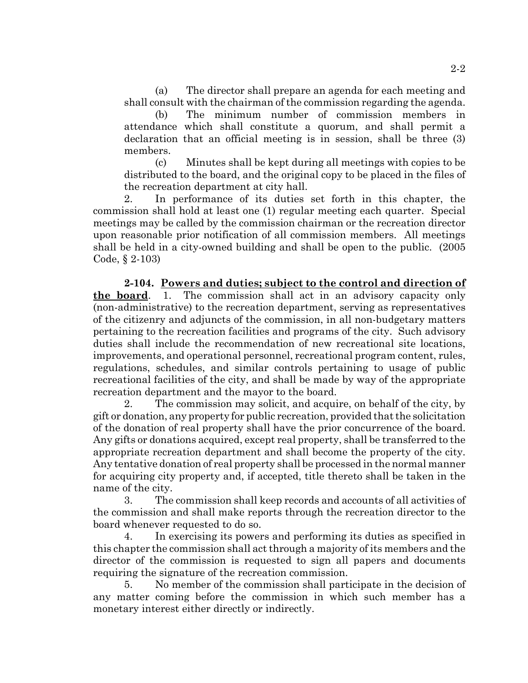(a) The director shall prepare an agenda for each meeting and shall consult with the chairman of the commission regarding the agenda.

(b) The minimum number of commission members in attendance which shall constitute a quorum, and shall permit a declaration that an official meeting is in session, shall be three (3) members.

(c) Minutes shall be kept during all meetings with copies to be distributed to the board, and the original copy to be placed in the files of the recreation department at city hall.

2. In performance of its duties set forth in this chapter, the commission shall hold at least one (1) regular meeting each quarter. Special meetings may be called by the commission chairman or the recreation director upon reasonable prior notification of all commission members. All meetings shall be held in a city-owned building and shall be open to the public. (2005 Code, § 2-103)

**2-104. Powers and duties; subject to the control and direction of the board**. 1. The commission shall act in an advisory capacity only (non-administrative) to the recreation department, serving as representatives of the citizenry and adjuncts of the commission, in all non-budgetary matters pertaining to the recreation facilities and programs of the city. Such advisory duties shall include the recommendation of new recreational site locations, improvements, and operational personnel, recreational program content, rules, regulations, schedules, and similar controls pertaining to usage of public recreational facilities of the city, and shall be made by way of the appropriate recreation department and the mayor to the board.

2. The commission may solicit, and acquire, on behalf of the city, by gift or donation, any property for public recreation, provided that the solicitation of the donation of real property shall have the prior concurrence of the board. Any gifts or donations acquired, except real property, shall be transferred to the appropriate recreation department and shall become the property of the city. Any tentative donation of real property shall be processed in the normal manner for acquiring city property and, if accepted, title thereto shall be taken in the name of the city.

3. The commission shall keep records and accounts of all activities of the commission and shall make reports through the recreation director to the board whenever requested to do so.

4. In exercising its powers and performing its duties as specified in this chapter the commission shall act through a majority of its members and the director of the commission is requested to sign all papers and documents requiring the signature of the recreation commission.

5. No member of the commission shall participate in the decision of any matter coming before the commission in which such member has a monetary interest either directly or indirectly.